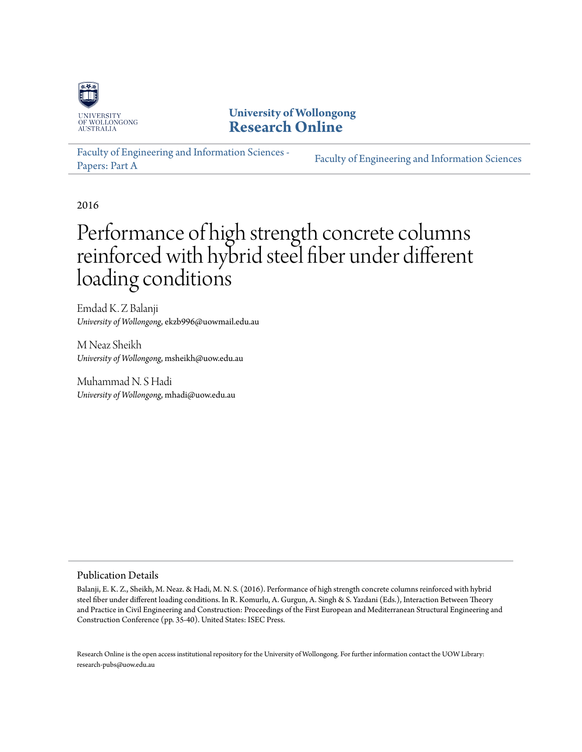

**University of Wollongong [Research Online](http://ro.uow.edu.au)**

[Faculty of Engineering and Information Sciences -](http://ro.uow.edu.au/eispapers) [Papers: Part A](http://ro.uow.edu.au/eispapers) [Faculty of Engineering and Information Sciences](http://ro.uow.edu.au/eis)

2016

# Performance of high strength concrete columns reinforced with hybrid steel fiber under different loading conditions

Emdad K. Z Balanji *University of Wollongong*, ekzb996@uowmail.edu.au

M Neaz Sheikh *University of Wollongong*, msheikh@uow.edu.au

Muhammad N. S Hadi *University of Wollongong*, mhadi@uow.edu.au

#### Publication Details

Balanji, E. K. Z., Sheikh, M. Neaz. & Hadi, M. N. S. (2016). Performance of high strength concrete columns reinforced with hybrid steel fiber under different loading conditions. In R. Komurlu, A. Gurgun, A. Singh & S. Yazdani (Eds.), Interaction Between Theory and Practice in Civil Engineering and Construction: Proceedings of the First European and Mediterranean Structural Engineering and Construction Conference (pp. 35-40). United States: ISEC Press.

Research Online is the open access institutional repository for the University of Wollongong. For further information contact the UOW Library: research-pubs@uow.edu.au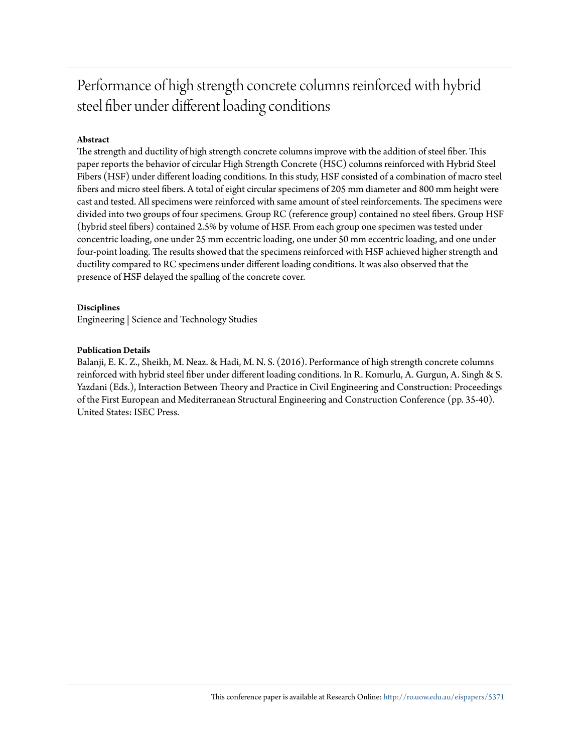# Performance of high strength concrete columns reinforced with hybrid steel fiber under different loading conditions

### **Abstract**

The strength and ductility of high strength concrete columns improve with the addition of steel fiber. This paper reports the behavior of circular High Strength Concrete (HSC) columns reinforced with Hybrid Steel Fibers (HSF) under different loading conditions. In this study, HSF consisted of a combination of macro steel fibers and micro steel fibers. A total of eight circular specimens of 205 mm diameter and 800 mm height were cast and tested. All specimens were reinforced with same amount of steel reinforcements. The specimens were divided into two groups of four specimens. Group RC (reference group) contained no steel fibers. Group HSF (hybrid steel fibers) contained 2.5% by volume of HSF. From each group one specimen was tested under concentric loading, one under 25 mm eccentric loading, one under 50 mm eccentric loading, and one under four-point loading. The results showed that the specimens reinforced with HSF achieved higher strength and ductility compared to RC specimens under different loading conditions. It was also observed that the presence of HSF delayed the spalling of the concrete cover.

#### **Disciplines**

Engineering | Science and Technology Studies

#### **Publication Details**

Balanji, E. K. Z., Sheikh, M. Neaz. & Hadi, M. N. S. (2016). Performance of high strength concrete columns reinforced with hybrid steel fiber under different loading conditions. In R. Komurlu, A. Gurgun, A. Singh & S. Yazdani (Eds.), Interaction Between Theory and Practice in Civil Engineering and Construction: Proceedings of the First European and Mediterranean Structural Engineering and Construction Conference (pp. 35-40). United States: ISEC Press.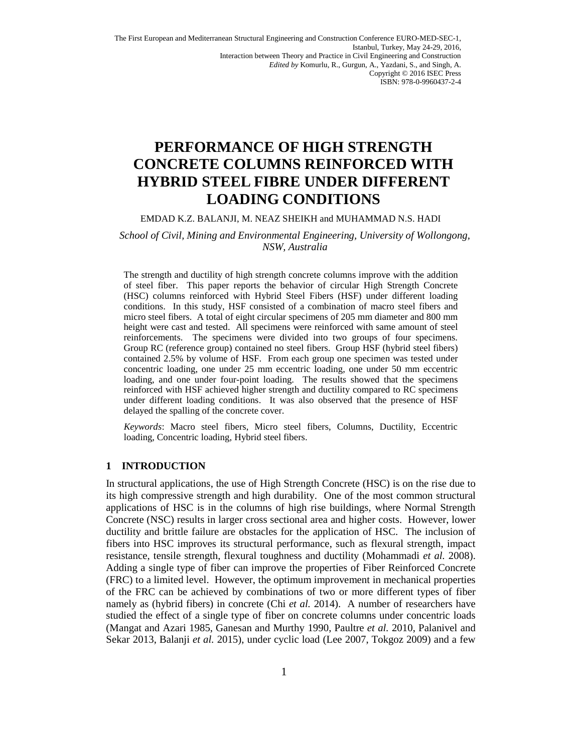The First European and Mediterranean Structural Engineering and Construction Conference EURO-MED-SEC-1, Istanbul, Turkey, May 24-29, 2016, Interaction between Theory and Practice in Civil Engineering and Construction *Edited by* Komurlu, R., Gurgun, A., Yazdani, S., and Singh, A. Copyright © 2016 ISEC Press ISBN: 978-0-9960437-2-4

# **PERFORMANCE OF HIGH STRENGTH CONCRETE COLUMNS REINFORCED WITH HYBRID STEEL FIBRE UNDER DIFFERENT LOADING CONDITIONS**

#### EMDAD K.Z. BALANJI, M. NEAZ SHEIKH and MUHAMMAD N.S. HADI

#### *School of Civil, Mining and Environmental Engineering, University of Wollongong, NSW, Australia*

The strength and ductility of high strength concrete columns improve with the addition of steel fiber. This paper reports the behavior of circular High Strength Concrete (HSC) columns reinforced with Hybrid Steel Fibers (HSF) under different loading conditions. In this study, HSF consisted of a combination of macro steel fibers and micro steel fibers. A total of eight circular specimens of 205 mm diameter and 800 mm height were cast and tested. All specimens were reinforced with same amount of steel reinforcements. The specimens were divided into two groups of four specimens. Group RC (reference group) contained no steel fibers. Group HSF (hybrid steel fibers) contained 2.5% by volume of HSF. From each group one specimen was tested under concentric loading, one under 25 mm eccentric loading, one under 50 mm eccentric loading, and one under four-point loading. The results showed that the specimens reinforced with HSF achieved higher strength and ductility compared to RC specimens under different loading conditions. It was also observed that the presence of HSF delayed the spalling of the concrete cover.

*Keywords*: Macro steel fibers, Micro steel fibers, Columns, Ductility, Eccentric loading, Concentric loading, Hybrid steel fibers.

#### **1 INTRODUCTION**

In structural applications, the use of High Strength Concrete (HSC) is on the rise due to its high compressive strength and high durability. One of the most common structural applications of HSC is in the columns of high rise buildings, where Normal Strength Concrete (NSC) results in larger cross sectional area and higher costs. However, lower ductility and brittle failure are obstacles for the application of HSC. The inclusion of fibers into HSC improves its structural performance, such as flexural strength, impact resistance, tensile strength, flexural toughness and ductility (Mohammadi *et al.* 2008). Adding a single type of fiber can improve the properties of Fiber Reinforced Concrete (FRC) to a limited level. However, the optimum improvement in mechanical properties of the FRC can be achieved by combinations of two or more different types of fiber namely as (hybrid fibers) in concrete (Chi *et al.* 2014). A number of researchers have studied the effect of a single type of fiber on concrete columns under concentric loads (Mangat and Azari 1985, Ganesan and Murthy 1990, Paultre *et al.* 2010, Palanivel and Sekar 2013, Balanji *et al.* 2015), under cyclic load (Lee 2007, Tokgoz 2009) and a few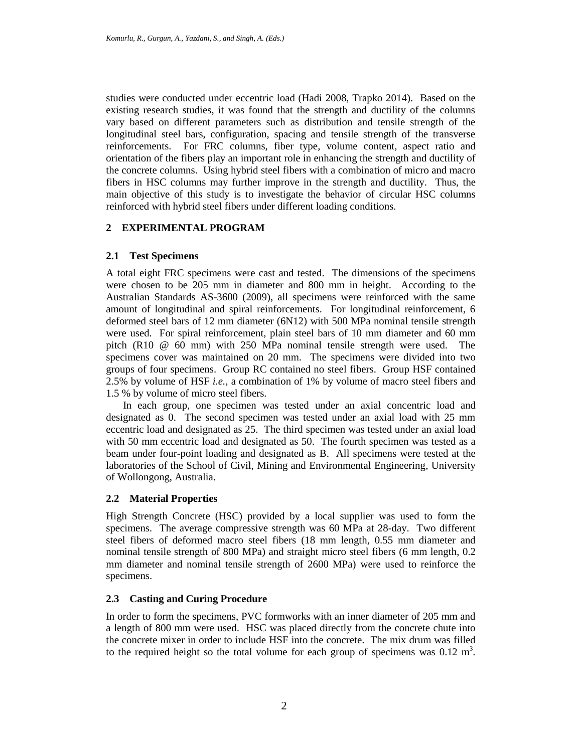studies were conducted under eccentric load (Hadi 2008, Trapko 2014). Based on the existing research studies, it was found that the strength and ductility of the columns vary based on different parameters such as distribution and tensile strength of the longitudinal steel bars, configuration, spacing and tensile strength of the transverse reinforcements. For FRC columns, fiber type, volume content, aspect ratio and orientation of the fibers play an important role in enhancing the strength and ductility of the concrete columns. Using hybrid steel fibers with a combination of micro and macro fibers in HSC columns may further improve in the strength and ductility. Thus, the main objective of this study is to investigate the behavior of circular HSC columns reinforced with hybrid steel fibers under different loading conditions.

### **2 EXPERIMENTAL PROGRAM**

### **2.1 Test Specimens**

A total eight FRC specimens were cast and tested. The dimensions of the specimens were chosen to be 205 mm in diameter and 800 mm in height. According to the Australian Standards AS-3600 (2009), all specimens were reinforced with the same amount of longitudinal and spiral reinforcements. For longitudinal reinforcement, 6 deformed steel bars of 12 mm diameter (6N12) with 500 MPa nominal tensile strength were used. For spiral reinforcement, plain steel bars of 10 mm diameter and 60 mm pitch (R10 @ 60 mm) with 250 MPa nominal tensile strength were used. The specimens cover was maintained on 20 mm. The specimens were divided into two groups of four specimens. Group RC contained no steel fibers. Group HSF contained 2.5% by volume of HSF *i.e.,* a combination of 1% by volume of macro steel fibers and 1.5 % by volume of micro steel fibers.

In each group, one specimen was tested under an axial concentric load and designated as 0. The second specimen was tested under an axial load with 25 mm eccentric load and designated as 25. The third specimen was tested under an axial load with 50 mm eccentric load and designated as 50. The fourth specimen was tested as a beam under four-point loading and designated as B. All specimens were tested at the laboratories of the School of Civil, Mining and Environmental Engineering, University of Wollongong, Australia.

### **2.2 Material Properties**

High Strength Concrete (HSC) provided by a local supplier was used to form the specimens. The average compressive strength was 60 MPa at 28-day. Two different steel fibers of deformed macro steel fibers (18 mm length, 0.55 mm diameter and nominal tensile strength of 800 MPa) and straight micro steel fibers (6 mm length, 0.2 mm diameter and nominal tensile strength of 2600 MPa) were used to reinforce the specimens.

### **2.3 Casting and Curing Procedure**

In order to form the specimens, PVC formworks with an inner diameter of 205 mm and a length of 800 mm were used. HSC was placed directly from the concrete chute into the concrete mixer in order to include HSF into the concrete. The mix drum was filled to the required height so the total volume for each group of specimens was  $0.12 \text{ m}^3$ .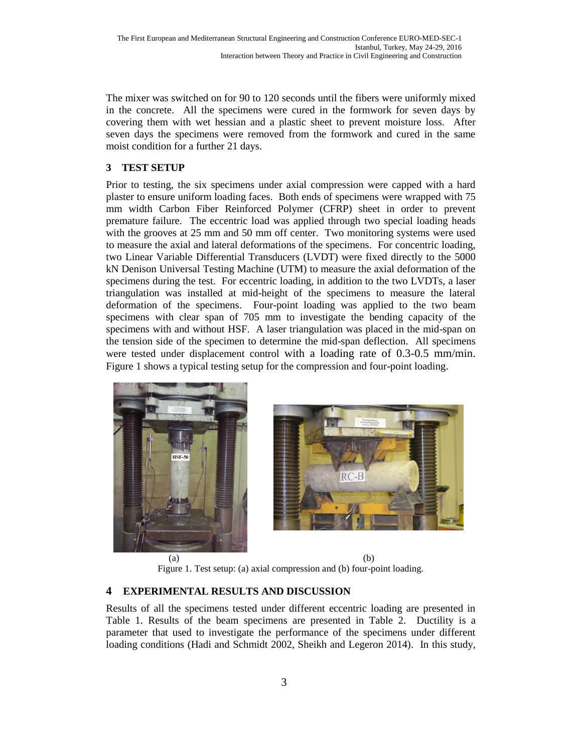The mixer was switched on for 90 to 120 seconds until the fibers were uniformly mixed in the concrete. All the specimens were cured in the formwork for seven days by covering them with wet hessian and a plastic sheet to prevent moisture loss. After seven days the specimens were removed from the formwork and cured in the same moist condition for a further 21 days.

### **3 TEST SETUP**

Prior to testing, the six specimens under axial compression were capped with a hard plaster to ensure uniform loading faces. Both ends of specimens were wrapped with 75 mm width Carbon Fiber Reinforced Polymer (CFRP) sheet in order to prevent premature failure. The eccentric load was applied through two special loading heads with the grooves at 25 mm and 50 mm off center. Two monitoring systems were used to measure the axial and lateral deformations of the specimens. For concentric loading, two Linear Variable Differential Transducers (LVDT) were fixed directly to the 5000 kN Denison Universal Testing Machine (UTM) to measure the axial deformation of the specimens during the test. For eccentric loading, in addition to the two LVDTs, a laser triangulation was installed at mid-height of the specimens to measure the lateral deformation of the specimens. Four-point loading was applied to the two beam specimens with clear span of 705 mm to investigate the bending capacity of the specimens with and without HSF. A laser triangulation was placed in the mid-span on the tension side of the specimen to determine the mid-span deflection. All specimens were tested under displacement control with a loading rate of 0.3-0.5 mm/min. Figure 1 shows a typical testing setup for the compression and four-point loading.





 $(a)$  (b) Figure 1. Test setup: (a) axial compression and (b) four-point loading.

## **4 EXPERIMENTAL RESULTS AND DISCUSSION**

Results of all the specimens tested under different eccentric loading are presented in Table 1. Results of the beam specimens are presented in Table 2. Ductility is a parameter that used to investigate the performance of the specimens under different loading conditions (Hadi and Schmidt 2002, Sheikh and Legeron 2014). In this study,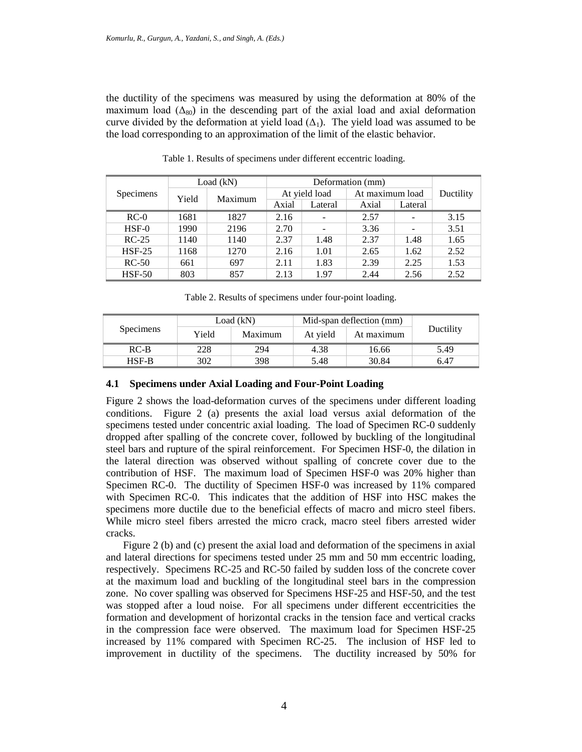the ductility of the specimens was measured by using the deformation at 80% of the maximum load ( $\Delta_{80}$ ) in the descending part of the axial load and axial deformation curve divided by the deformation at yield load  $(\Delta_1)$ . The yield load was assumed to be the load corresponding to an approximation of the limit of the elastic behavior.

| Specimens     | Load $(kN)$ |         | Deformation (mm) |                          |                 |         |           |
|---------------|-------------|---------|------------------|--------------------------|-----------------|---------|-----------|
|               | Yield       | Maximum | At yield load    |                          | At maximum load |         | Ductility |
|               |             |         | Axial            | Lateral                  | Axial           | Lateral |           |
| $RC-0$        | 1681        | 1827    | 2.16             | $\overline{\phantom{0}}$ | 2.57            | -       | 3.15      |
| $HSF-0$       | 1990        | 2196    | 2.70             |                          | 3.36            |         | 3.51      |
| $RC-25$       | 1140        | 1140    | 2.37             | 1.48                     | 2.37            | 1.48    | 1.65      |
| <b>HSF-25</b> | 1168        | 1270    | 2.16             | 1.01                     | 2.65            | 1.62    | 2.52      |
| $RC-50$       | 661         | 697     | 2.11             | 1.83                     | 2.39            | 2.25    | 1.53      |
| <b>HSF-50</b> | 803         | 857     | 2.13             | 1.97                     | 2.44            | 2.56    | 2.52      |

Table 1. Results of specimens under different eccentric loading.

Table 2. Results of specimens under four-point loading.

|                  |       | Load (kN) | Mid-span deflection (mm) |            |           |
|------------------|-------|-----------|--------------------------|------------|-----------|
| <b>Specimens</b> | Yield | Maximum   | At vield                 | At maximum | Ductility |
| $RC-B$           | 228   | 294       | 4.38                     | 16.66      | 5.49      |
| HSF-B            | 302   | 398       | 5.48                     | 30.84      | 6.47      |

#### **4.1 Specimens under Axial Loading and Four-Point Loading**

Figure 2 shows the load-deformation curves of the specimens under different loading conditions. Figure 2 (a) presents the axial load versus axial deformation of the specimens tested under concentric axial loading. The load of Specimen RC-0 suddenly dropped after spalling of the concrete cover, followed by buckling of the longitudinal steel bars and rupture of the spiral reinforcement. For Specimen HSF-0, the dilation in the lateral direction was observed without spalling of concrete cover due to the contribution of HSF. The maximum load of Specimen HSF-0 was 20% higher than Specimen RC-0. The ductility of Specimen HSF-0 was increased by 11% compared with Specimen RC-0. This indicates that the addition of HSF into HSC makes the specimens more ductile due to the beneficial effects of macro and micro steel fibers. While micro steel fibers arrested the micro crack, macro steel fibers arrested wider cracks.

Figure 2 (b) and (c) present the axial load and deformation of the specimens in axial and lateral directions for specimens tested under 25 mm and 50 mm eccentric loading, respectively. Specimens RC-25 and RC-50 failed by sudden loss of the concrete cover at the maximum load and buckling of the longitudinal steel bars in the compression zone. No cover spalling was observed for Specimens HSF-25 and HSF-50, and the test was stopped after a loud noise. For all specimens under different eccentricities the formation and development of horizontal cracks in the tension face and vertical cracks in the compression face were observed. The maximum load for Specimen HSF-25 increased by 11% compared with Specimen RC-25. The inclusion of HSF led to improvement in ductility of the specimens. The ductility increased by 50% for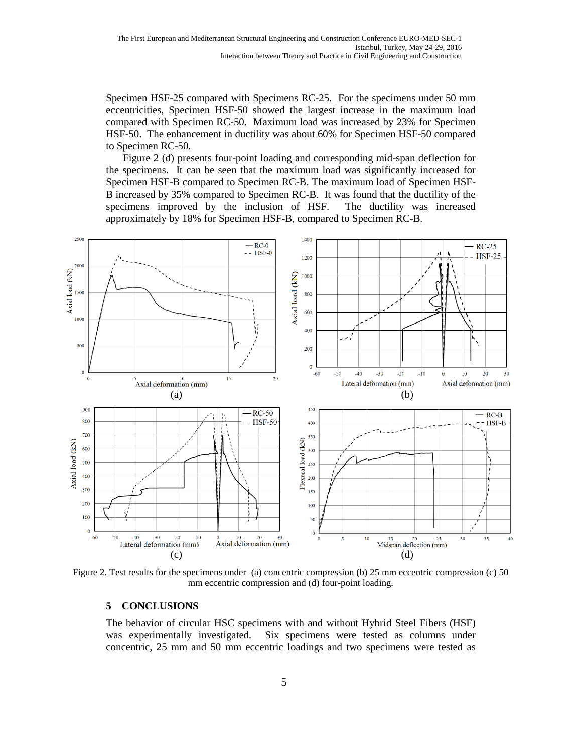Specimen HSF-25 compared with Specimens RC-25. For the specimens under 50 mm eccentricities, Specimen HSF-50 showed the largest increase in the maximum load compared with Specimen RC-50. Maximum load was increased by 23% for Specimen HSF-50. The enhancement in ductility was about 60% for Specimen HSF-50 compared to Specimen RC-50.

Figure 2 (d) presents four-point loading and corresponding mid-span deflection for the specimens. It can be seen that the maximum load was significantly increased for Specimen HSF-B compared to Specimen RC-B. The maximum load of Specimen HSF-B increased by 35% compared to Specimen RC-B. It was found that the ductility of the specimens improved by the inclusion of HSF. The ductility was increased approximately by 18% for Specimen HSF-B, compared to Specimen RC-B.



Figure 2. Test results for the specimens under (a) concentric compression (b) 25 mm eccentric compression (c) 50 mm eccentric compression and (d) four-point loading.

#### **5 CONCLUSIONS**

The behavior of circular HSC specimens with and without Hybrid Steel Fibers (HSF) was experimentally investigated. Six specimens were tested as columns under concentric, 25 mm and 50 mm eccentric loadings and two specimens were tested as